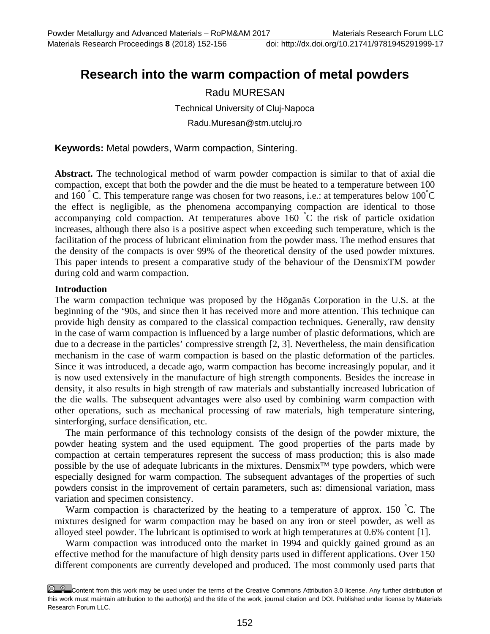# **Research into the warm compaction of metal powders**

# Radu MURESAN

Technical University of Cluj-Napoca

Radu.Muresan@stm.utcluj.ro

**Keywords:** Metal powders, Warm compaction, Sintering.

**Abstract.** The technological method of warm powder compaction is similar to that of axial die compaction, except that both the powder and the die must be heated to a temperature between 100 and  $160\degree$  C. This temperature range was chosen for two reasons, i.e.: at temperatures below  $100\degree$ C the effect is negligible, as the phenomena accompanying compaction are identical to those accompanying cold compaction. At temperatures above 160 ° C the risk of particle oxidation increases, although there also is a positive aspect when exceeding such temperature, which is the facilitation of the process of lubricant elimination from the powder mass. The method ensures that the density of the compacts is over 99% of the theoretical density of the used powder mixtures. This paper intends to present a comparative study of the behaviour of the DensmixTM powder during cold and warm compaction.

#### **Introduction**

The warm compaction technique was proposed by the Höganäs Corporation in the U.S. at the beginning of the '90s, and since then it has received more and more attention. This technique can provide high density as compared to the classical compaction techniques. Generally, raw density in the case of warm compaction is influenced by a large number of plastic deformations, which are due to a decrease in the particles' compressive strength [2, 3]. Nevertheless, the main densification mechanism in the case of warm compaction is based on the plastic deformation of the particles. Since it was introduced, a decade ago, warm compaction has become increasingly popular, and it is now used extensively in the manufacture of high strength components. Besides the increase in density, it also results in high strength of raw materials and substantially increased lubrication of the die walls. The subsequent advantages were also used by combining warm compaction with other operations, such as mechanical processing of raw materials, high temperature sintering, sinterforging, surface densification, etc.

The main performance of this technology consists of the design of the powder mixture, the powder heating system and the used equipment. The good properties of the parts made by compaction at certain temperatures represent the success of mass production; this is also made possible by the use of adequate lubricants in the mixtures. Densmix™ type powders, which were especially designed for warm compaction. The subsequent advantages of the properties of such powders consist in the improvement of certain parameters, such as: dimensional variation, mass variation and specimen consistency.

Warm compaction is characterized by the heating to a temperature of approx. 150 °C. The mixtures designed for warm compaction may be based on any iron or steel powder, as well as alloyed steel powder. The lubricant is optimised to work at high temperatures at 0.6% content [1].

Warm compaction was introduced onto the market in 1994 and quickly gained ground as an effective method for the manufacture of high density parts used in different applications. Over 150 different components are currently developed and produced. The most commonly used parts that

Content from this work may be used under the terms of the Creative Commons Attribution 3.0 license. Any further distribution of this work must maintain attribution to the author(s) and the title of the work, journal citation and DOI. Published under license by Materials Research Forum LLC.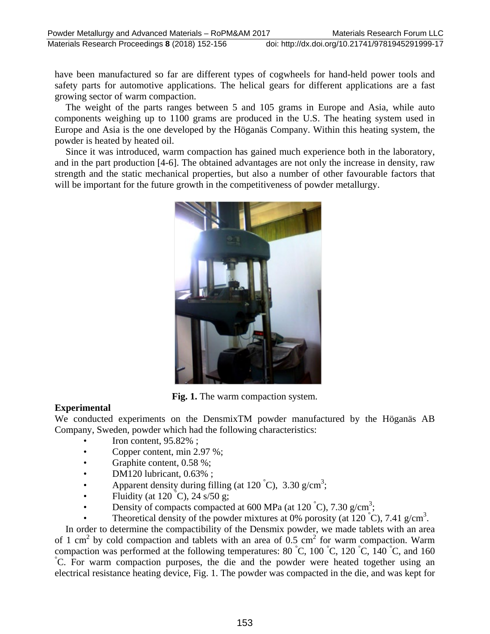have been manufactured so far are different types of cogwheels for hand-held power tools and safety parts for automotive applications. The helical gears for different applications are a fast growing sector of warm compaction.

The weight of the parts ranges between 5 and 105 grams in Europe and Asia, while auto components weighing up to 1100 grams are produced in the U.S. The heating system used in Europe and Asia is the one developed by the Höganäs Company. Within this heating system, the powder is heated by heated oil.

Since it was introduced, warm compaction has gained much experience both in the laboratory, and in the part production [4-6]. The obtained advantages are not only the increase in density, raw strength and the static mechanical properties, but also a number of other favourable factors that will be important for the future growth in the competitiveness of powder metallurgy.



**Fig. 1.** The warm compaction system.

# **Experimental**

We conducted experiments on the DensmixTM powder manufactured by the Höganäs AB Company, Sweden, powder which had the following characteristics:

- Iron content, 95.82% ;
- Copper content, min 2.97 %;
- Graphite content, 0.58 %;
- DM120 lubricant, 0.63% ;
- Apparent density during filling (at 120 °C), 3.30 g/cm<sup>3</sup>;
- Fluidity (at  $120\degree C$ ),  $24\degree s/50\degree g$ ;
- Density of compacts compacted at 600 MPa (at 120 °C), 7.30 g/cm<sup>3</sup>;
- Theoretical density of the powder mixtures at 0% porosity (at  $120\degree C$ ), 7.41 g/cm<sup>3</sup>.

In order to determine the compactibility of the Densmix powder, we made tablets with an area of 1 cm<sup>2</sup> by cold compaction and tablets with an area of 0.5 cm<sup>2</sup> for warm compaction. Warm compaction was performed at the following temperatures: 80 °C, 100 °C, 120 °C, 140 °C, and 160 °C. For were compaction purposes, the die and the powder were botted together wing an C. For warm compaction purposes, the die and the powder were heated together using an electrical resistance heating device, Fig. 1. The powder was compacted in the die, and was kept for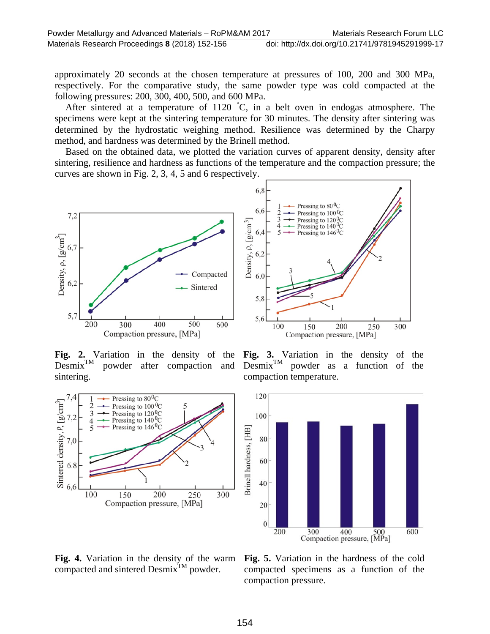approximately 20 seconds at the chosen temperature at pressures of 100, 200 and 300 MPa, respectively. For the comparative study, the same powder type was cold compacted at the following pressures: 200, 300, 400, 500, and 600 MPa.

After sintered at a temperature of 1120 ° C, in a belt oven in endogas atmosphere. The specimens were kept at the sintering temperature for 30 minutes. The density after sintering was determined by the hydrostatic weighing method. Resilience was determined by the Charpy method, and hardness was determined by the Brinell method.

Based on the obtained data, we plotted the variation curves of apparent density, density after sintering, resilience and hardness as functions of the temperature and the compaction pressure; the curves are shown in Fig. 2, 3, 4, 5 and 6 respectively.





**Fig. 2.** Variation in the density of the Desmix<sup>TM</sup> powder after compaction and powder after compaction and sintering.



**Fig. 3.** Variation in the density of the  $Desmix^{TM}$  powder as a function of the compaction temperature.



**Fig. 4.** Variation in the density of the warm compacted and sintered Desmix<sup>TM</sup> powder.

**Fig. 5.** Variation in the hardness of the cold compacted specimens as a function of the compaction pressure.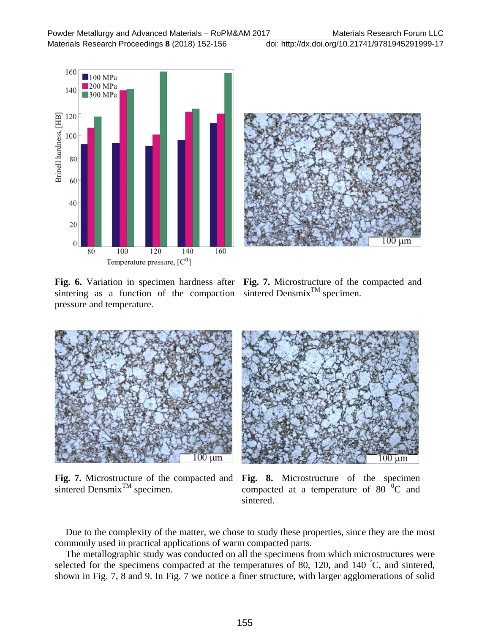Materials Research Proceedings **8** (2018) 152-156 doi: http://dx.doi.org/10.21741/9781945291999-17



sintering as a function of the compaction sintered Densmix<sup>TM</sup> specimen. pressure and temperature.



**Fig. 6.** Variation in specimen hardness after **Fig. 7.** Microstructure of the compacted and



**Fig. 7.** Microstructure of the compacted and sintered Densmix<sup>TM</sup> specimen.

**Fig. 8.** Microstructure of the specimen compacted at a temperature of  $80^{\degree}$ °C and sintered.

Due to the complexity of the matter, we chose to study these properties, since they are the most commonly used in practical applications of warm compacted parts.

The metallographic study was conducted on all the specimens from which microstructures were selected for the specimens compacted at the temperatures of 80, 120, and 140 °C, and sintered, shown in Fig. 7, 8 and 9. In Fig. 7 we notice a finer structure, with larger agglomerations of solid